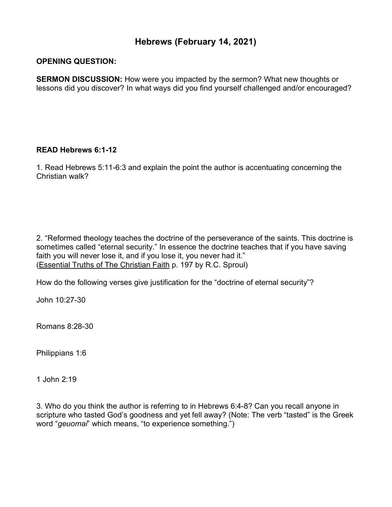## **Hebrews (February 14, 2021)**

## **OPENING QUESTION:**

**SERMON DISCUSSION:** How were you impacted by the sermon? What new thoughts or lessons did you discover? In what ways did you find yourself challenged and/or encouraged?

## **READ Hebrews 6:1-12**

1. Read Hebrews 5:11-6:3 and explain the point the author is accentuating concerning the Christian walk?

2. "Reformed theology teaches the doctrine of the perseverance of the saints. This doctrine is sometimes called "eternal security." In essence the doctrine teaches that if you have saving faith you will never lose it, and if you lose it, you never had it." (Essential Truths of The Christian Faith p. 197 by R.C. Sproul)

How do the following verses give justification for the "doctrine of eternal security"?

John 10:27-30

Romans 8:28-30

Philippians 1:6

1 John 2:19

3. Who do you think the author is referring to in Hebrews 6:4-8? Can you recall anyone in scripture who tasted God's goodness and yet fell away? (Note: The verb "tasted" is the Greek word "*geuomai*" which means, "to experience something.")